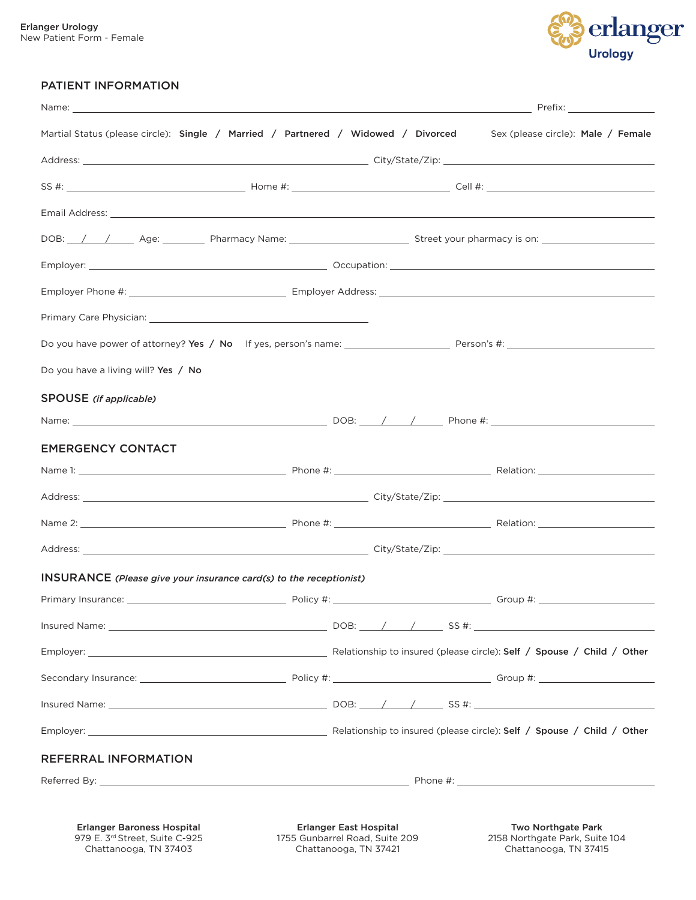

#### PATIENT INFORMATION

|                                                                                                                  | Martial Status (please circle): Single / Married / Partnered / Widowed / Divorced Sex (please circle): Male / Female                                                                                                           |
|------------------------------------------------------------------------------------------------------------------|--------------------------------------------------------------------------------------------------------------------------------------------------------------------------------------------------------------------------------|
|                                                                                                                  |                                                                                                                                                                                                                                |
|                                                                                                                  |                                                                                                                                                                                                                                |
|                                                                                                                  | Email Address: <u>Alexander Address:</u> Alexander Address: Alexander Address: Alexander Address: Alexander Address: A                                                                                                         |
|                                                                                                                  | DOB: /// Age: Pharmacy Name: Superson Street your pharmacy is on: Network Age: Network Pharmacy is on:                                                                                                                         |
|                                                                                                                  |                                                                                                                                                                                                                                |
|                                                                                                                  |                                                                                                                                                                                                                                |
| Primary Care Physician: New York Structure and Structure and Structure and Structure and Structure and Structure |                                                                                                                                                                                                                                |
|                                                                                                                  |                                                                                                                                                                                                                                |
| Do you have a living will? Yes / No                                                                              |                                                                                                                                                                                                                                |
| SPOUSE (if applicable)                                                                                           |                                                                                                                                                                                                                                |
|                                                                                                                  |                                                                                                                                                                                                                                |
| <b>EMERGENCY CONTACT</b>                                                                                         |                                                                                                                                                                                                                                |
|                                                                                                                  | Name 1: 1. 2008 12 = 2.0 = 2.0 = 2.0 = 2.0 = 2.0 = 2.0 = 2.0 = 2.0 = 2.0 = 2.0 = 2.0 = 2.0 = 2.0 = 2.0 = 2.0 = 2.0 = 2.0 = 2.0 = 2.0 = 2.0 = 2.0 = 2.0 = 2.0 = 2.0 = 2.0 = 2.0 = 2.0 = 2.0 = 2.0 = 2.0 = 2.0 = 2.0 = 2.0 = 2.0 |
|                                                                                                                  |                                                                                                                                                                                                                                |
|                                                                                                                  |                                                                                                                                                                                                                                |
|                                                                                                                  |                                                                                                                                                                                                                                |
| INSURANCE (Please give your insurance card(s) to the receptionist)                                               |                                                                                                                                                                                                                                |
|                                                                                                                  |                                                                                                                                                                                                                                |
|                                                                                                                  |                                                                                                                                                                                                                                |
|                                                                                                                  |                                                                                                                                                                                                                                |
|                                                                                                                  |                                                                                                                                                                                                                                |
|                                                                                                                  |                                                                                                                                                                                                                                |
|                                                                                                                  |                                                                                                                                                                                                                                |
| <b>REFERRAL INFORMATION</b>                                                                                      |                                                                                                                                                                                                                                |
|                                                                                                                  |                                                                                                                                                                                                                                |

979 E. 3rd Street, Suite C-925 Chattanooga, TN 37403

1755 Gunbarrel Road, Suite 209 Chattanooga, TN 37421

2158 Northgate Park, Suite 104 Chattanooga, TN 37415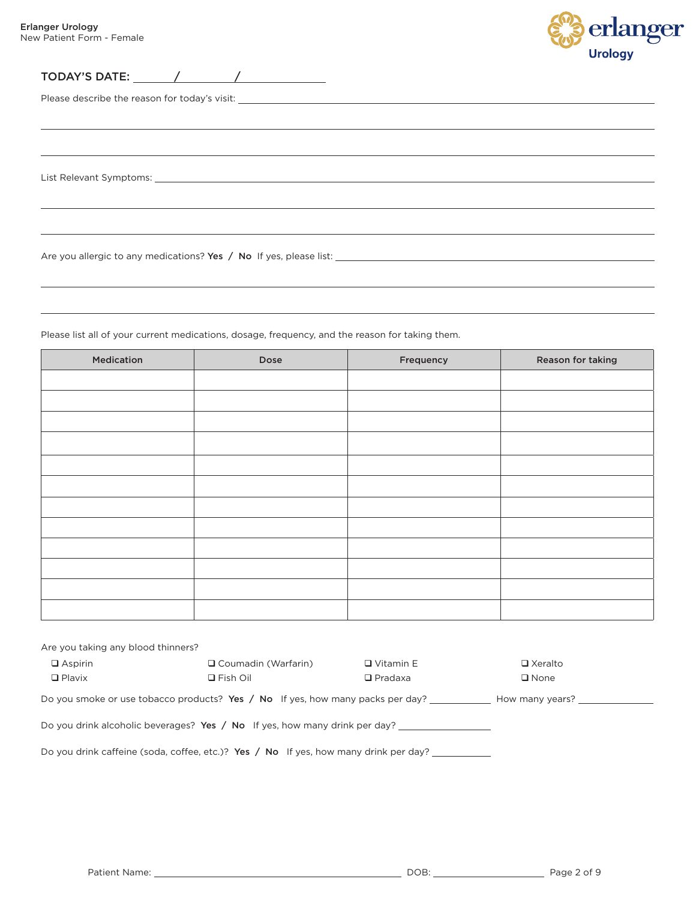$\overline{a}$ 



 $\sim$  10  $\pm$ 

TODAY'S DATE: / /

Please describe the reason for today's visit:

List Relevant Symptoms:

Are you allergic to any medications? Yes / No If yes, please list:

Please list all of your current medications, dosage, frequency, and the reason for taking them.

| Medication | Dose | Frequency | Reason for taking |
|------------|------|-----------|-------------------|
|            |      |           |                   |
|            |      |           |                   |
|            |      |           |                   |
|            |      |           |                   |
|            |      |           |                   |
|            |      |           |                   |
|            |      |           |                   |
|            |      |           |                   |
|            |      |           |                   |
|            |      |           |                   |
|            |      |           |                   |
|            |      |           |                   |
|            |      |           |                   |

| Are you taking any blood thinners?                                                                |                            |                  |                |  |  |  |  |
|---------------------------------------------------------------------------------------------------|----------------------------|------------------|----------------|--|--|--|--|
| $\Box$ Aspirin                                                                                    | $\Box$ Coumadin (Warfarin) | $\Box$ Vitamin E | □ Xeralto      |  |  |  |  |
| $\Box$ Plavix                                                                                     | $\Box$ Fish Oil            | $\Box$ Pradaxa   | $\square$ None |  |  |  |  |
| Do you smoke or use tobacco products? Yes / No If yes, how many packs per day?<br>How many years? |                            |                  |                |  |  |  |  |
| Do you drink alcoholic beverages? Yes / No If yes, how many drink per day?                        |                            |                  |                |  |  |  |  |
| Do you drink caffeine (soda, coffee, etc.)? Yes $\land$ No If yes, how many drink per day?        |                            |                  |                |  |  |  |  |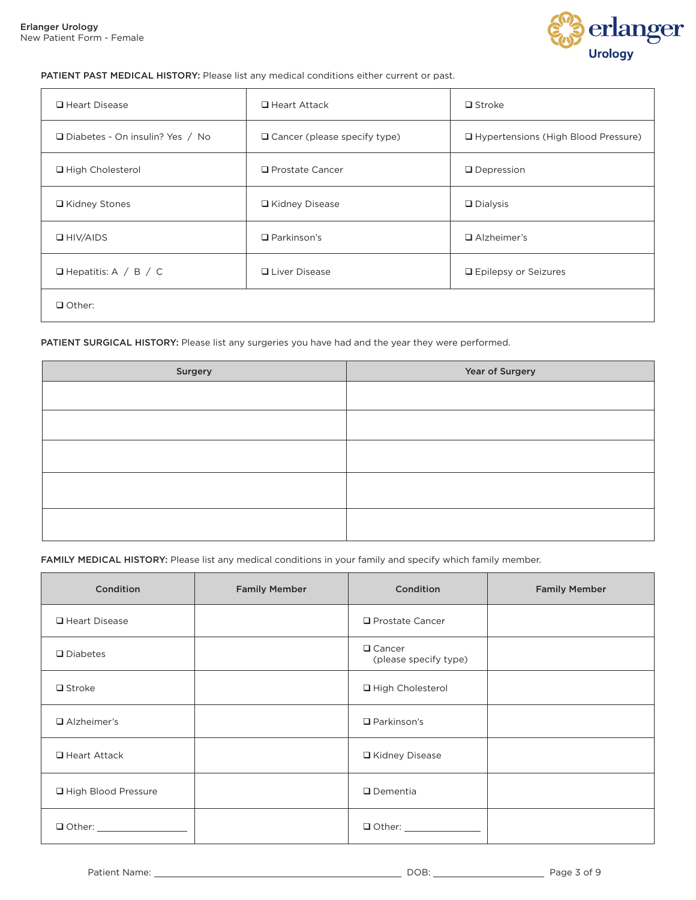

#### PATIENT PAST MEDICAL HISTORY: Please list any medical conditions either current or past.

| □ Heart Disease                   | $\Box$ Heart Attack                 | $\Box$ Stroke                         |
|-----------------------------------|-------------------------------------|---------------------------------------|
| □ Diabetes - On insulin? Yes / No | $\Box$ Cancer (please specify type) | □ Hypertensions (High Blood Pressure) |
| □ High Cholesterol                | $\Box$ Prostate Cancer              | $\Box$ Depression                     |
| □ Kidney Stones                   | □ Kidney Disease                    | $\Box$ Dialysis                       |
| $\Box$ HIV/AIDS                   | $\Box$ Parkinson's                  | $\Box$ Alzheimer's                    |
| $\Box$ Hepatitis: A / B / C       | <b>Q</b> Liver Disease              | <b>Epilepsy or Seizures</b>           |
| $\Box$ Other:                     |                                     |                                       |

#### PATIENT SURGICAL HISTORY: Please list any surgeries you have had and the year they were performed.

| Surgery | Year of Surgery |
|---------|-----------------|
|         |                 |
|         |                 |
|         |                 |
|         |                 |
|         |                 |
|         |                 |
|         |                 |

FAMILY MEDICAL HISTORY: Please list any medical conditions in your family and specify which family member.

| Condition           | <b>Family Member</b> | Condition                              | <b>Family Member</b> |
|---------------------|----------------------|----------------------------------------|----------------------|
| □ Heart Disease     |                      | $\Box$ Prostate Cancer                 |                      |
| $\Box$ Diabetes     |                      | $\Box$ Cancer<br>(please specify type) |                      |
| $\Box$ Stroke       |                      | □ High Cholesterol                     |                      |
| $\Box$ Alzheimer's  |                      | $\Box$ Parkinson's                     |                      |
| $\Box$ Heart Attack |                      | □ Kidney Disease                       |                      |
| High Blood Pressure |                      | $\Box$ Dementia                        |                      |
| $\Box$ Other:       |                      |                                        |                      |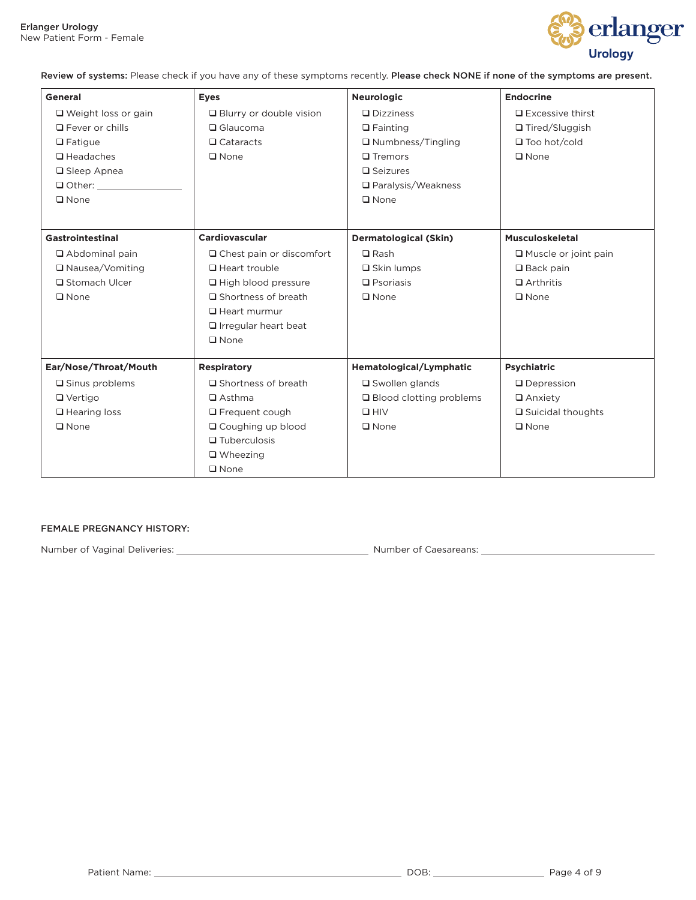

Review of systems: Please check if you have any of these symptoms recently. Please check NONE if none of the symptoms are present.

| General                    | <b>Eyes</b>                     | <b>Neurologic</b>            | <b>Endocrine</b>            |
|----------------------------|---------------------------------|------------------------------|-----------------------------|
| $\Box$ Weight loss or gain | $\Box$ Blurry or double vision  | $\Box$ Dizziness             | $\Box$ Excessive thirst     |
| $\Box$ Fever or chills     | $\Box$ Glaucoma                 | $\Box$ Fainting              | □ Tired/Sluggish            |
| $\Box$ Fatigue             | $\Box$ Cataracts                | $\Box$ Numbness/Tingling     | $\Box$ Too hot/cold         |
| $\Box$ Headaches           | $\Box$ None                     | $\Box$ Tremors               | $\square$ None              |
| □ Sleep Apnea              |                                 | $\square$ Seizures           |                             |
| $\Box$ Other:              |                                 | □ Paralysis/Weakness         |                             |
| $\square$ None             |                                 | $\square$ None               |                             |
|                            |                                 |                              |                             |
| Gastrointestinal           | Cardiovascular                  | <b>Dermatological (Skin)</b> | <b>Musculoskeletal</b>      |
| $\Box$ Abdominal pain      | $\Box$ Chest pain or discomfort | $\Box$ Rash                  | $\Box$ Muscle or joint pain |
| □ Nausea/Vomiting          | Heart trouble                   | $\Box$ Skin lumps            | $\Box$ Back pain            |
| □ Stomach Ulcer            | $\Box$ High blood pressure      | $\Box$ Psoriasis             | $\Box$ Arthritis            |
| $\square$ None             | □ Shortness of breath           | $\square$ None               | $\square$ None              |
|                            | $\Box$ Heart murmur             |                              |                             |
|                            | $\Box$ Irregular heart beat     |                              |                             |
|                            | $\square$ None                  |                              |                             |
| Ear/Nose/Throat/Mouth      | <b>Respiratory</b>              | Hematological/Lymphatic      | <b>Psychiatric</b>          |
| $\square$ Sinus problems   | $\square$ Shortness of breath   | $\square$ Swollen glands     | $\Box$ Depression           |
| $\Box$ Vertigo             | $\Box$ Asthma                   | □ Blood clotting problems    | $\Box$ Anxiety              |
| $\Box$ Hearing loss        | $\Box$ Frequent cough           | $\square$ HIV                | $\Box$ Suicidal thoughts    |
| $\square$ None             | □ Coughing up blood             | $\square$ None               | $\square$ None              |
|                            | $\Box$ Tuberculosis             |                              |                             |
|                            | $\Box$ Wheezing                 |                              |                             |
|                            | $\Box$ None                     |                              |                             |

#### FEMALE PREGNANCY HISTORY:

Number of Vaginal Deliveries: Number of Caesareans: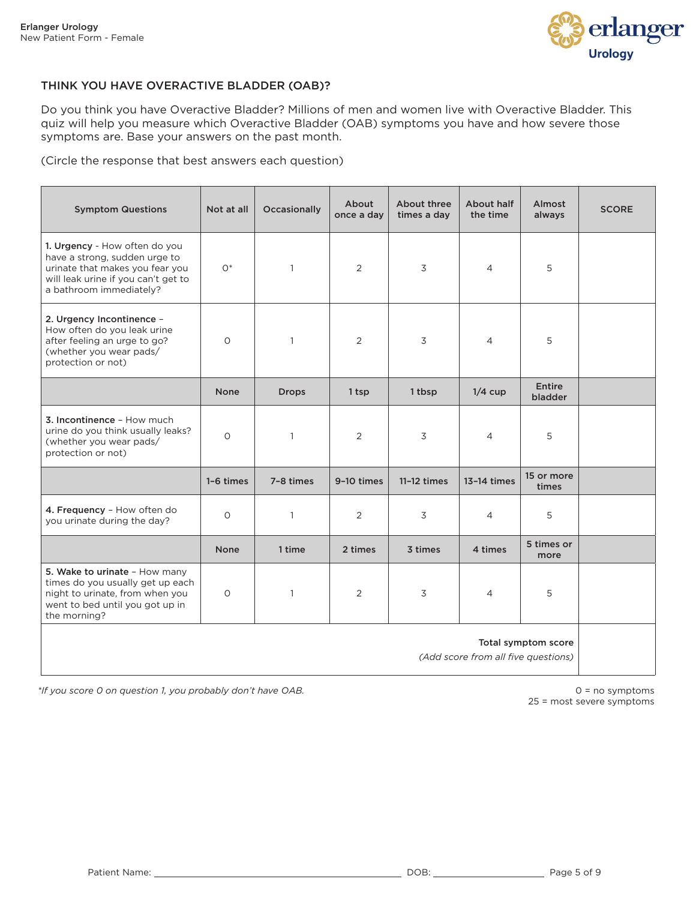

#### THINK YOU HAVE OVERACTIVE BLADDER (OAB)?

Do you think you have Overactive Bladder? Millions of men and women live with Overactive Bladder. This quiz will help you measure which Overactive Bladder (OAB) symptoms you have and how severe those symptoms are. Base your answers on the past month.

(Circle the response that best answers each question)

| <b>Symptom Questions</b>                                                                                                                                            | Not at all  | Occasionally | About<br>once a day | About three<br>times a day | About half<br>the time | Almost<br>always         | <b>SCORE</b> |
|---------------------------------------------------------------------------------------------------------------------------------------------------------------------|-------------|--------------|---------------------|----------------------------|------------------------|--------------------------|--------------|
| 1. Urgency - How often do you<br>have a strong, sudden urge to<br>urinate that makes you fear you<br>will leak urine if you can't get to<br>a bathroom immediately? | $O*$        | $\mathbf{1}$ | 2                   | 3                          | $\overline{4}$         | 5                        |              |
| 2. Urgency Incontinence -<br>How often do you leak urine<br>after feeling an urge to go?<br>(whether you wear pads/<br>protection or not)                           | $\circ$     | $\mathbf{1}$ | 2                   | 3                          | $\overline{4}$         | 5                        |              |
|                                                                                                                                                                     | <b>None</b> | <b>Drops</b> | 1 tsp               | 1 tbsp                     | $1/4$ cup              | <b>Entire</b><br>bladder |              |
| 3. Incontinence - How much<br>urine do you think usually leaks?<br>(whether you wear pads/<br>protection or not)                                                    | $\circ$     | $\mathbf{1}$ | 2                   | 3                          | $\overline{4}$         | 5                        |              |
|                                                                                                                                                                     | 1-6 times   | 7-8 times    | 9-10 times          | $11-12 \times$             | 13-14 times            | 15 or more<br>times      |              |
| 4. Frequency - How often do<br>you urinate during the day?                                                                                                          | $\circ$     | $\mathbf{1}$ | 2                   | 3                          | $\overline{4}$         | 5                        |              |
|                                                                                                                                                                     | <b>None</b> | 1 time       | 2 times             | 3 times                    | 4 times                | 5 times or<br>more       |              |
| 5. Wake to urinate - How many<br>times do you usually get up each<br>night to urinate, from when you<br>went to bed until you got up in<br>the morning?             | $\circ$     | $\mathbf{1}$ | 2                   | 3                          | $\overline{4}$         | 5                        |              |
| Total symptom score<br>(Add score from all five questions)                                                                                                          |             |              |                     |                            |                        |                          |              |

*\*If you score 0 on question 1, you probably don't have OAB.*

 $0 = no$  symptoms 25 = most severe symptoms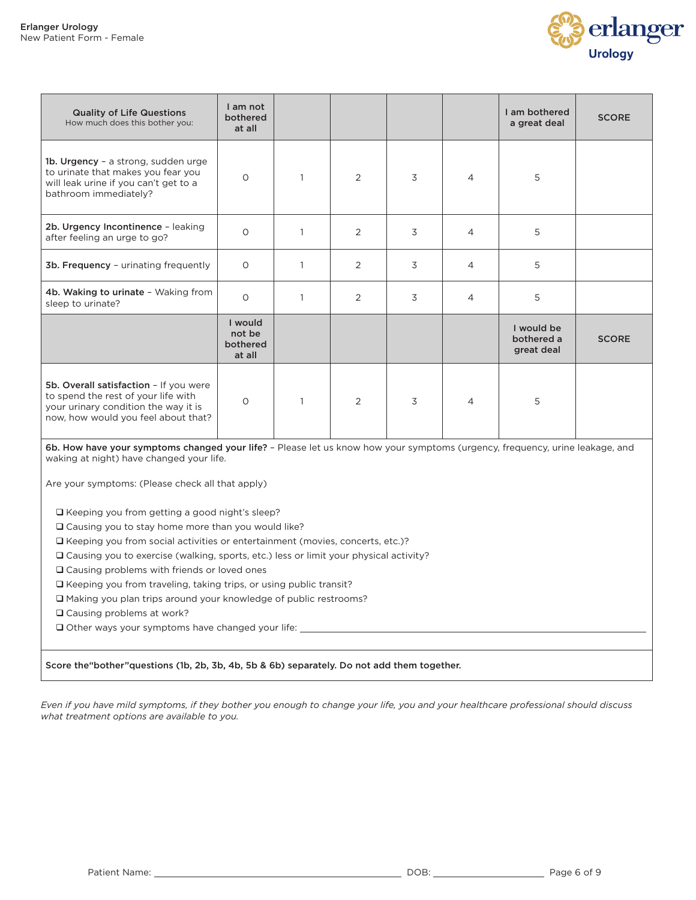

| <b>Quality of Life Questions</b><br>How much does this bother you:                                                                                           | I am not<br>bothered<br>at all          |               |   |                | I am bothered<br>a great deal          | <b>SCORE</b> |
|--------------------------------------------------------------------------------------------------------------------------------------------------------------|-----------------------------------------|---------------|---|----------------|----------------------------------------|--------------|
| 1b. Urgency - a strong, sudden urge<br>to urinate that makes you fear you<br>will leak urine if you can't get to a<br>bathroom immediately?                  | $\circ$                                 | 2             | 3 | $\overline{4}$ | 5                                      |              |
| 2b. Urgency Incontinence - leaking<br>after feeling an urge to go?                                                                                           | $\circ$                                 | 2             | 3 | $\overline{4}$ | 5                                      |              |
| 3b. Frequency - urinating frequently                                                                                                                         | $\circ$                                 | 2             | 3 | $\overline{4}$ | 5                                      |              |
| 4b. Waking to urinate - Waking from<br>sleep to urinate?                                                                                                     | $\Omega$                                | 2             | 3 | $\overline{4}$ | 5                                      |              |
|                                                                                                                                                              | I would<br>not be<br>bothered<br>at all |               |   |                | I would be<br>bothered a<br>great deal | <b>SCORE</b> |
| 5b. Overall satisfaction - If you were<br>to spend the rest of your life with<br>your urinary condition the way it is<br>now, how would you feel about that? | $\circ$                                 | $\mathcal{P}$ | 3 | $\overline{4}$ | 5                                      |              |

6b. How have your symptoms changed your life? - Please let us know how your symptoms (urgency, frequency, urine leakage, and waking at night) have changed your life.

Are your symptoms: (Please check all that apply)

Keeping you from getting a good night's sleep?

Causing you to stay home more than you would like?

 $\square$  Keeping you from social activities or entertainment (movies, concerts, etc.)?

Causing you to exercise (walking, sports, etc.) less or limit your physical activity?

□ Causing problems with friends or loved ones

 $\Box$  Keeping you from traveling, taking trips, or using public transit?

Making you plan trips around your knowledge of public restrooms?

Causing problems at work?

 $\square$  Other ways your symptoms have changed your life:

Score the"bother"questions (1b, 2b, 3b, 4b, 5b & 6b) separately. Do not add them together.

*Even if you have mild symptoms, if they bother you enough to change your life, you and your healthcare professional should discuss what treatment options are available to you.*